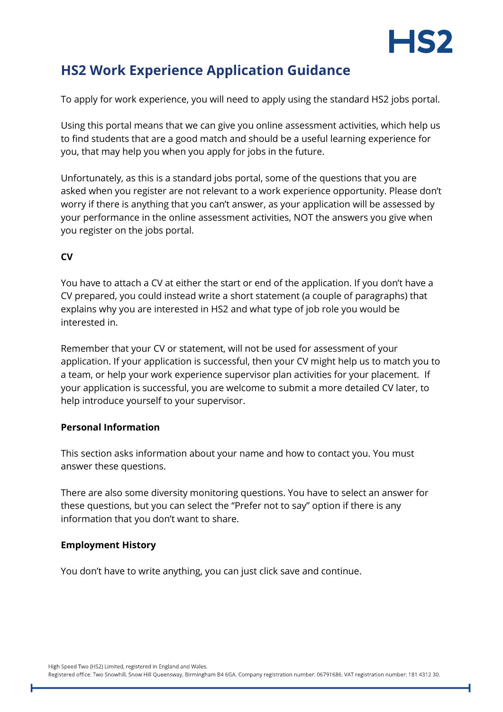

# **HS2 Work Experience Application Guidance**

To apply for work experience, you will need to apply using the standard HS2 jobs portal.

Using this portal means that we can give you online assessment activities, which help us to find students that are a good match and should be a useful learning experience for you, that may help you when you apply for jobs in the future.

Unfortunately, as this is a standard jobs portal, some of the questions that you are asked when you register are not relevant to a work experience opportunity. Please don't worry if there is anything that you can't answer, as your application will be assessed by your performance in the online assessment activities, NOT the answers you give when you register on the jobs portal.

## **CV**

You have to attach a CV at either the start or end of the application. If you don't have a CV prepared, you could instead write a short statement (a couple of paragraphs) that explains why you are interested in HS2 and what type of job role you would be interested in.

Remember that your CV or statement, will not be used for assessment of your application. If your application is successful, then your CV might help us to match you to a team, or help your work experience supervisor plan activities for your placement. If your application is successful, you are welcome to submit a more detailed CV later, to help introduce yourself to your supervisor.

## **Personal Information**

This section asks information about your name and how to contact you. You must answer these questions.

There are also some diversity monitoring questions. You have to select an answer for these questions, but you can select the "Prefer not to say" option if there is any information that you don't want to share.

## **Employment History**

You don't have to write anything, you can just click save and continue.

High Speed Two (HS2) Limited, registered in England and Wales.

Registered office: Two Snowhill, Snow Hill Queensway, Birmingham B4 6GA. Company registration number: 06791686. VAT registration number: 181 4312 30.